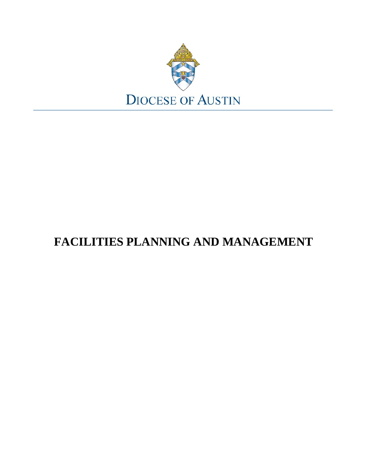

# **FACILITIES PLANNING AND MANAGEMENT**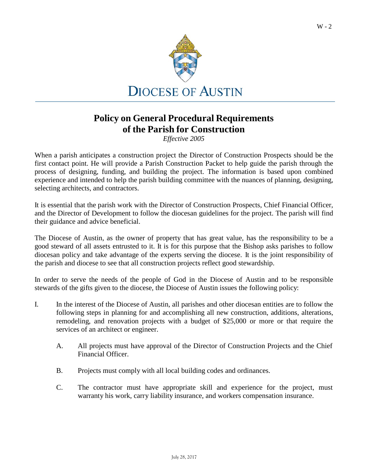

### **Policy on General Procedural Requirements of the Parish for Construction**

*Effective 2005*

When a parish anticipates a construction project the Director of Construction Prospects should be the first contact point. He will provide a Parish Construction Packet to help guide the parish through the process of designing, funding, and building the project. The information is based upon combined experience and intended to help the parish building committee with the nuances of planning, designing, selecting architects, and contractors.

It is essential that the parish work with the Director of Construction Prospects, Chief Financial Officer, and the Director of Development to follow the diocesan guidelines for the project. The parish will find their guidance and advice beneficial.

The Diocese of Austin, as the owner of property that has great value, has the responsibility to be a good steward of all assets entrusted to it. It is for this purpose that the Bishop asks parishes to follow diocesan policy and take advantage of the experts serving the diocese. It is the joint responsibility of the parish and diocese to see that all construction projects reflect good stewardship.

In order to serve the needs of the people of God in the Diocese of Austin and to be responsible stewards of the gifts given to the diocese, the Diocese of Austin issues the following policy:

- I. In the interest of the Diocese of Austin, all parishes and other diocesan entities are to follow the following steps in planning for and accomplishing all new construction, additions, alterations, remodeling, and renovation projects with a budget of \$25,000 or more or that require the services of an architect or engineer.
	- A. All projects must have approval of the Director of Construction Projects and the Chief Financial Officer.
	- B. Projects must comply with all local building codes and ordinances.
	- C. The contractor must have appropriate skill and experience for the project, must warranty his work, carry liability insurance, and workers compensation insurance.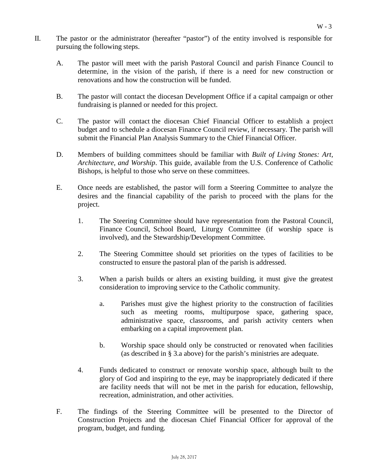- II. The pastor or the administrator (hereafter "pastor") of the entity involved is responsible for pursuing the following steps.
	- A. The pastor will meet with the parish Pastoral Council and parish Finance Council to determine, in the vision of the parish, if there is a need for new construction or renovations and how the construction will be funded.
	- B. The pastor will contact the diocesan Development Office if a capital campaign or other fundraising is planned or needed for this project.
	- C. The pastor will contact the diocesan Chief Financial Officer to establish a project budget and to schedule a diocesan Finance Council review, if necessary. The parish will submit the Financial Plan Analysis Summary to the Chief Financial Officer.
	- D. Members of building committees should be familiar with *Built of Living Stones: Art, Architecture, and Worship*. This guide, available from the U.S. Conference of Catholic Bishops, is helpful to those who serve on these committees.
	- E. Once needs are established, the pastor will form a Steering Committee to analyze the desires and the financial capability of the parish to proceed with the plans for the project.
		- 1. The Steering Committee should have representation from the Pastoral Council, Finance Council, School Board, Liturgy Committee (if worship space is involved), and the Stewardship/Development Committee.
		- 2. The Steering Committee should set priorities on the types of facilities to be constructed to ensure the pastoral plan of the parish is addressed.
		- 3. When a parish builds or alters an existing building, it must give the greatest consideration to improving service to the Catholic community.
			- a. Parishes must give the highest priority to the construction of facilities such as meeting rooms, multipurpose space, gathering space, administrative space, classrooms, and parish activity centers when embarking on a capital improvement plan.
			- b. Worship space should only be constructed or renovated when facilities (as described in § 3.a above) for the parish's ministries are adequate.
		- 4. Funds dedicated to construct or renovate worship space, although built to the glory of God and inspiring to the eye, may be inappropriately dedicated if there are facility needs that will not be met in the parish for education, fellowship, recreation, administration, and other activities.
	- F. The findings of the Steering Committee will be presented to the Director of Construction Projects and the diocesan Chief Financial Officer for approval of the program, budget, and funding.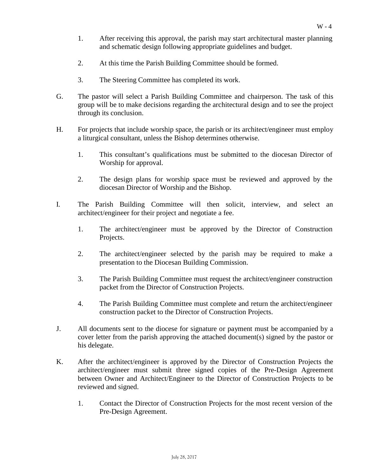- 1. After receiving this approval, the parish may start architectural master planning and schematic design following appropriate guidelines and budget.
- 2. At this time the Parish Building Committee should be formed.
- 3. The Steering Committee has completed its work.
- G. The pastor will select a Parish Building Committee and chairperson. The task of this group will be to make decisions regarding the architectural design and to see the project through its conclusion.
- H. For projects that include worship space, the parish or its architect/engineer must employ a liturgical consultant, unless the Bishop determines otherwise.
	- 1. This consultant's qualifications must be submitted to the diocesan Director of Worship for approval.
	- 2. The design plans for worship space must be reviewed and approved by the diocesan Director of Worship and the Bishop.
- I. The Parish Building Committee will then solicit, interview, and select an architect/engineer for their project and negotiate a fee.
	- 1. The architect/engineer must be approved by the Director of Construction Projects.
	- 2. The architect/engineer selected by the parish may be required to make a presentation to the Diocesan Building Commission.
	- 3. The Parish Building Committee must request the architect/engineer construction packet from the Director of Construction Projects.
	- 4. The Parish Building Committee must complete and return the architect/engineer construction packet to the Director of Construction Projects.
- J. All documents sent to the diocese for signature or payment must be accompanied by a cover letter from the parish approving the attached document(s) signed by the pastor or his delegate.
- K. After the architect/engineer is approved by the Director of Construction Projects the architect/engineer must submit three signed copies of the Pre-Design Agreement between Owner and Architect/Engineer to the Director of Construction Projects to be reviewed and signed.
	- 1. Contact the Director of Construction Projects for the most recent version of the Pre-Design Agreement.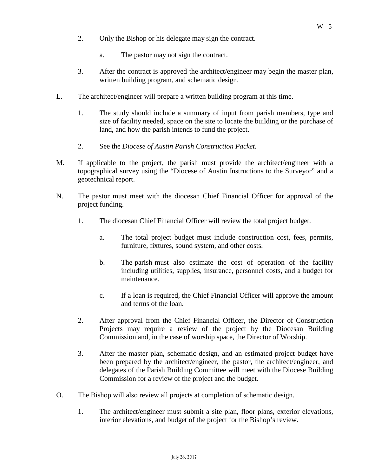- 2. Only the Bishop or his delegate may sign the contract.
	- a. The pastor may not sign the contract.
- 3. After the contract is approved the architect/engineer may begin the master plan, written building program, and schematic design.
- L. The architect/engineer will prepare a written building program at this time.
	- 1. The study should include a summary of input from parish members, type and size of facility needed, space on the site to locate the building or the purchase of land, and how the parish intends to fund the project.
	- 2. See the *Diocese of Austin Parish Construction Packet.*
- M. If applicable to the project, the parish must provide the architect/engineer with a topographical survey using the "Diocese of Austin Instructions to the Surveyor" and a geotechnical report.
- N. The pastor must meet with the diocesan Chief Financial Officer for approval of the project funding.
	- 1. The diocesan Chief Financial Officer will review the total project budget.
		- a. The total project budget must include construction cost, fees, permits, furniture, fixtures, sound system, and other costs.
		- b. The parish must also estimate the cost of operation of the facility including utilities, supplies, insurance, personnel costs, and a budget for maintenance.
		- c. If a loan is required, the Chief Financial Officer will approve the amount and terms of the loan.
	- 2. After approval from the Chief Financial Officer, the Director of Construction Projects may require a review of the project by the Diocesan Building Commission and, in the case of worship space, the Director of Worship.
	- 3. After the master plan, schematic design, and an estimated project budget have been prepared by the architect/engineer, the pastor, the architect/engineer, and delegates of the Parish Building Committee will meet with the Diocese Building Commission for a review of the project and the budget.
- O. The Bishop will also review all projects at completion of schematic design.
	- 1. The architect/engineer must submit a site plan, floor plans, exterior elevations, interior elevations, and budget of the project for the Bishop's review.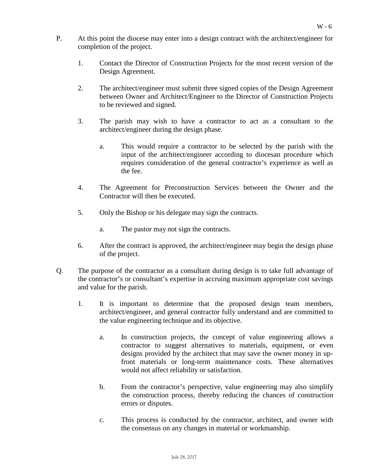- P. At this point the diocese may enter into a design contract with the architect/engineer for completion of the project.
	- 1. Contact the Director of Construction Projects for the most recent version of the Design Agreement.
	- 2. The architect/engineer must submit three signed copies of the Design Agreement between Owner and Architect/Engineer to the Director of Construction Projects to be reviewed and signed.
	- 3. The parish may wish to have a contractor to act as a consultant to the architect/engineer during the design phase.
		- a. This would require a contractor to be selected by the parish with the input of the architect/engineer according to diocesan procedure which requires consideration of the general contractor's experience as well as the fee.
	- 4. The Agreement for Preconstruction Services between the Owner and the Contractor will then be executed.
	- 5. Only the Bishop or his delegate may sign the contracts.
		- a. The pastor may not sign the contracts.
	- 6. After the contract is approved, the architect/engineer may begin the design phase of the project.
- Q. The purpose of the contractor as a consultant during design is to take full advantage of the contractor's or consultant's expertise in accruing maximum appropriate cost savings and value for the parish.
	- 1. It is important to determine that the proposed design team members, architect/engineer, and general contractor fully understand and are committed to the value engineering technique and its objective.
		- a. In construction projects, the concept of value engineering allows a contractor to suggest alternatives to materials, equipment, or even designs provided by the architect that may save the owner money in upfront materials or long-term maintenance costs. These alternatives would not affect reliability or satisfaction.
		- b. From the contractor's perspective, value engineering may also simplify the construction process, thereby reducing the chances of construction errors or disputes.
		- c. This process is conducted by the contractor, architect, and owner with the consensus on any changes in material or workmanship.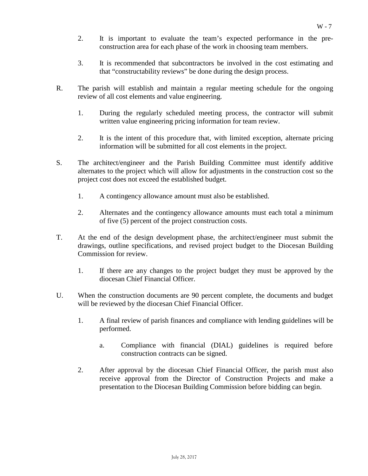- 2. It is important to evaluate the team's expected performance in the preconstruction area for each phase of the work in choosing team members.
- 3. It is recommended that subcontractors be involved in the cost estimating and that "constructability reviews" be done during the design process.
- R. The parish will establish and maintain a regular meeting schedule for the ongoing review of all cost elements and value engineering.
	- 1. During the regularly scheduled meeting process, the contractor will submit written value engineering pricing information for team review.
	- 2. It is the intent of this procedure that, with limited exception, alternate pricing information will be submitted for all cost elements in the project.
- S. The architect/engineer and the Parish Building Committee must identify additive alternates to the project which will allow for adjustments in the construction cost so the project cost does not exceed the established budget.
	- 1. A contingency allowance amount must also be established.
	- 2. Alternates and the contingency allowance amounts must each total a minimum of five (5) percent of the project construction costs.
- T. At the end of the design development phase, the architect/engineer must submit the drawings, outline specifications, and revised project budget to the Diocesan Building Commission for review.
	- 1. If there are any changes to the project budget they must be approved by the diocesan Chief Financial Officer.
- U. When the construction documents are 90 percent complete, the documents and budget will be reviewed by the diocesan Chief Financial Officer.
	- 1. A final review of parish finances and compliance with lending guidelines will be performed.
		- a. Compliance with financial (DIAL) guidelines is required before construction contracts can be signed.
	- 2. After approval by the diocesan Chief Financial Officer, the parish must also receive approval from the Director of Construction Projects and make a presentation to the Diocesan Building Commission before bidding can begin.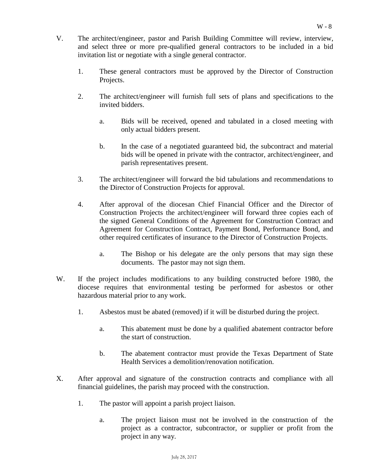- V. The architect/engineer, pastor and Parish Building Committee will review, interview, and select three or more pre-qualified general contractors to be included in a bid invitation list or negotiate with a single general contractor.
	- 1. These general contractors must be approved by the Director of Construction Projects.
	- 2. The architect/engineer will furnish full sets of plans and specifications to the invited bidders.
		- a. Bids will be received, opened and tabulated in a closed meeting with only actual bidders present.
		- b. In the case of a negotiated guaranteed bid, the subcontract and material bids will be opened in private with the contractor, architect/engineer, and parish representatives present.
	- 3. The architect/engineer will forward the bid tabulations and recommendations to the Director of Construction Projects for approval.
	- 4. After approval of the diocesan Chief Financial Officer and the Director of Construction Projects the architect/engineer will forward three copies each of the signed General Conditions of the Agreement for Construction Contract and Agreement for Construction Contract, Payment Bond, Performance Bond, and other required certificates of insurance to the Director of Construction Projects.
		- a. The Bishop or his delegate are the only persons that may sign these documents. The pastor may not sign them.
- W. If the project includes modifications to any building constructed before 1980, the diocese requires that environmental testing be performed for asbestos or other hazardous material prior to any work.
	- 1. Asbestos must be abated (removed) if it will be disturbed during the project.
		- a. This abatement must be done by a qualified abatement contractor before the start of construction.
		- b. The abatement contractor must provide the Texas Department of State Health Services a demolition/renovation notification.
- X. After approval and signature of the construction contracts and compliance with all financial guidelines, the parish may proceed with the construction.
	- 1. The pastor will appoint a parish project liaison.
		- a. The project liaison must not be involved in the construction of the project as a contractor, subcontractor, or supplier or profit from the project in any way.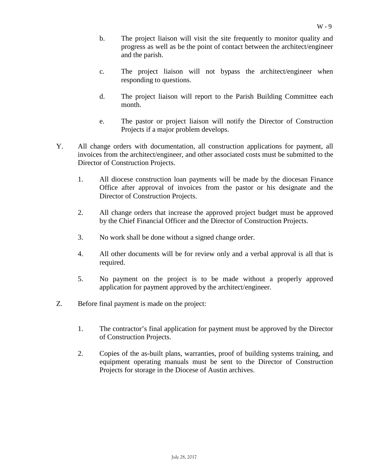- b. The project liaison will visit the site frequently to monitor quality and progress as well as be the point of contact between the architect/engineer and the parish.
- c. The project liaison will not bypass the architect/engineer when responding to questions.
- d. The project liaison will report to the Parish Building Committee each month.
- e. The pastor or project liaison will notify the Director of Construction Projects if a major problem develops.
- Y. All change orders with documentation, all construction applications for payment, all invoices from the architect/engineer, and other associated costs must be submitted to the Director of Construction Projects.
	- 1. All diocese construction loan payments will be made by the diocesan Finance Office after approval of invoices from the pastor or his designate and the Director of Construction Projects.
	- 2. All change orders that increase the approved project budget must be approved by the Chief Financial Officer and the Director of Construction Projects.
	- 3. No work shall be done without a signed change order.
	- 4. All other documents will be for review only and a verbal approval is all that is required.
	- 5. No payment on the project is to be made without a properly approved application for payment approved by the architect/engineer.
- Z. Before final payment is made on the project:
	- 1. The contractor's final application for payment must be approved by the Director of Construction Projects.
	- 2. Copies of the as-built plans, warranties, proof of building systems training, and equipment operating manuals must be sent to the Director of Construction Projects for storage in the Diocese of Austin archives.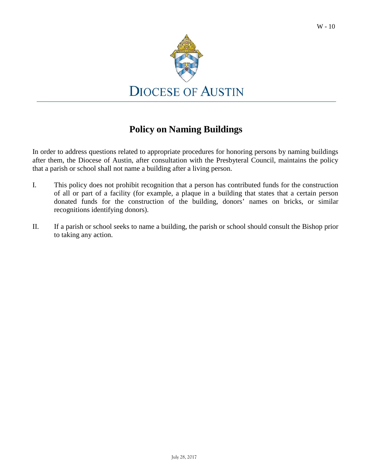

### **Policy on Naming Buildings**

In order to address questions related to appropriate procedures for honoring persons by naming buildings after them, the Diocese of Austin, after consultation with the Presbyteral Council, maintains the policy that a parish or school shall not name a building after a living person.

- I. This policy does not prohibit recognition that a person has contributed funds for the construction of all or part of a facility (for example, a plaque in a building that states that a certain person donated funds for the construction of the building, donors' names on bricks, or similar recognitions identifying donors).
- II. If a parish or school seeks to name a building, the parish or school should consult the Bishop prior to taking any action.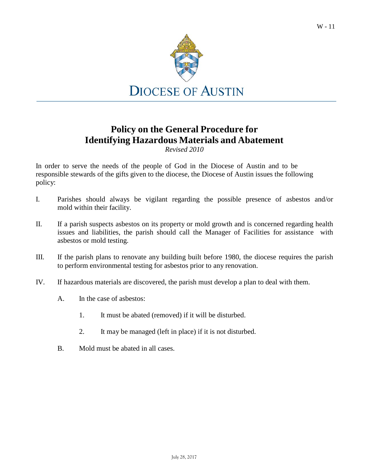

### **Policy on the General Procedure for Identifying Hazardous Materials and Abatement**

*Revised 2010*

In order to serve the needs of the people of God in the Diocese of Austin and to be responsible stewards of the gifts given to the diocese, the Diocese of Austin issues the following policy:

- I. Parishes should always be vigilant regarding the possible presence of asbestos and/or mold within their facility.
- II. If a parish suspects asbestos on its property or mold growth and is concerned regarding health issues and liabilities, the parish should call the Manager of Facilities for assistance with asbestos or mold testing.
- III. If the parish plans to renovate any building built before 1980, the diocese requires the parish to perform environmental testing for asbestos prior to any renovation.
- IV. If hazardous materials are discovered, the parish must develop a plan to deal with them.
	- A. In the case of asbestos:
		- 1. It must be abated (removed) if it will be disturbed.
		- 2. It may be managed (left in place) if it is not disturbed.
	- B. Mold must be abated in all cases.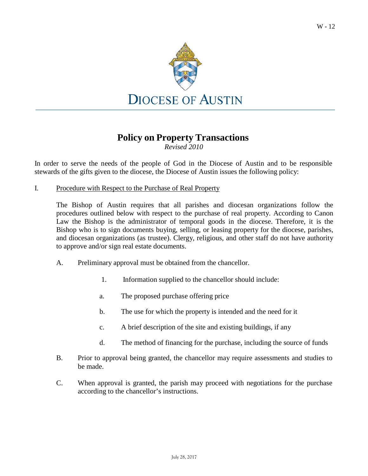

### **Policy on Property Transactions**

*Revised 2010*

In order to serve the needs of the people of God in the Diocese of Austin and to be responsible stewards of the gifts given to the diocese, the Diocese of Austin issues the following policy:

I. Procedure with Respect to the Purchase of Real Property

The Bishop of Austin requires that all parishes and diocesan organizations follow the procedures outlined below with respect to the purchase of real property. According to Canon Law the Bishop is the administrator of temporal goods in the diocese. Therefore, it is the Bishop who is to sign documents buying, selling, or leasing property for the diocese, parishes, and diocesan organizations (as trustee). Clergy, religious, and other staff do not have authority to approve and/or sign real estate documents.

- A. Preliminary approval must be obtained from the chancellor.
	- 1. Information supplied to the chancellor should include:
	- a. The proposed purchase offering price
	- b. The use for which the property is intended and the need for it
	- c. A brief description of the site and existing buildings, if any
	- d. The method of financing for the purchase, including the source of funds
- B. Prior to approval being granted, the chancellor may require assessments and studies to be made.
- C. When approval is granted, the parish may proceed with negotiations for the purchase according to the chancellor's instructions.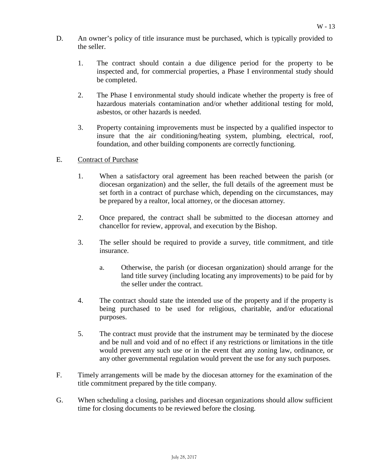- D. An owner's policy of title insurance must be purchased, which is typically provided to the seller.
	- 1. The contract should contain a due diligence period for the property to be inspected and, for commercial properties, a Phase I environmental study should be completed.
	- 2. The Phase I environmental study should indicate whether the property is free of hazardous materials contamination and/or whether additional testing for mold, asbestos, or other hazards is needed.
	- 3. Property containing improvements must be inspected by a qualified inspector to insure that the air conditioning/heating system, plumbing, electrical, roof, foundation, and other building components are correctly functioning.

#### E. Contract of Purchase

- 1. When a satisfactory oral agreement has been reached between the parish (or diocesan organization) and the seller, the full details of the agreement must be set forth in a contract of purchase which, depending on the circumstances, may be prepared by a realtor, local attorney, or the diocesan attorney.
- 2. Once prepared, the contract shall be submitted to the diocesan attorney and chancellor for review, approval, and execution by the Bishop.
- 3. The seller should be required to provide a survey, title commitment, and title insurance.
	- a. Otherwise, the parish (or diocesan organization) should arrange for the land title survey (including locating any improvements) to be paid for by the seller under the contract.
- 4. The contract should state the intended use of the property and if the property is being purchased to be used for religious, charitable, and/or educational purposes.
- 5. The contract must provide that the instrument may be terminated by the diocese and be null and void and of no effect if any restrictions or limitations in the title would prevent any such use or in the event that any zoning law, ordinance, or any other governmental regulation would prevent the use for any such purposes.
- F. Timely arrangements will be made by the diocesan attorney for the examination of the title commitment prepared by the title company.
- G. When scheduling a closing, parishes and diocesan organizations should allow sufficient time for closing documents to be reviewed before the closing.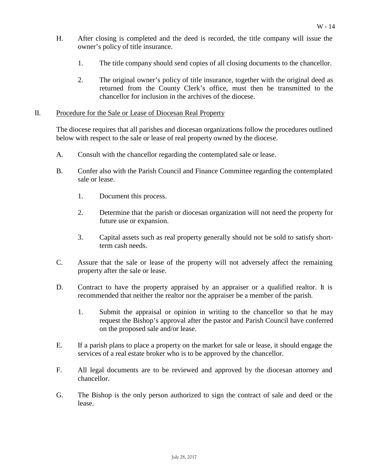- H. After closing is completed and the deed is recorded, the title company will issue the owner's policy of title insurance.
	- 1. The title company should send copies of all closing documents to the chancellor.
	- 2. The original owner's policy of title insurance, together with the original deed as returned from the County Clerk's office, must then be transmitted to the chancellor for inclusion in the archives of the diocese.

#### II. Procedure for the Sale or Lease of Diocesan Real Property

The diocese requires that all parishes and diocesan organizations follow the procedures outlined below with respect to the sale or lease of real property owned by the diocese.

- A. Consult with the chancellor regarding the contemplated sale or lease.
- B. Confer also with the Parish Council and Finance Committee regarding the contemplated sale or lease.
	- 1. Document this process.
	- 2. Determine that the parish or diocesan organization will not need the property for future use or expansion.
	- 3. Capital assets such as real property generally should not be sold to satisfy shortterm cash needs.
- C. Assure that the sale or lease of the property will not adversely affect the remaining property after the sale or lease.
- D. Contract to have the property appraised by an appraiser or a qualified realtor. It is recommended that neither the realtor nor the appraiser be a member of the parish.
	- 1. Submit the appraisal or opinion in writing to the chancellor so that he may request the Bishop's approval after the pastor and Parish Council have conferred on the proposed sale and/or lease.
- E. If a parish plans to place a property on the market for sale or lease, it should engage the services of a real estate broker who is to be approved by the chancellor.
- F. All legal documents are to be reviewed and approved by the diocesan attorney and chancellor.
- G. The Bishop is the only person authorized to sign the contract of sale and deed or the lease.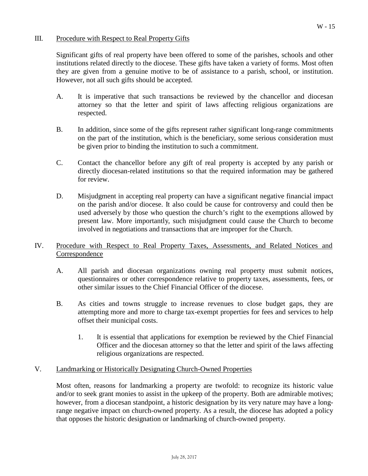#### III. Procedure with Respect to Real Property Gifts

Significant gifts of real property have been offered to some of the parishes, schools and other institutions related directly to the diocese. These gifts have taken a variety of forms. Most often they are given from a genuine motive to be of assistance to a parish, school, or institution. However, not all such gifts should be accepted.

- A. It is imperative that such transactions be reviewed by the chancellor and diocesan attorney so that the letter and spirit of laws affecting religious organizations are respected.
- B. In addition, since some of the gifts represent rather significant long-range commitments on the part of the institution, which is the beneficiary, some serious consideration must be given prior to binding the institution to such a commitment.
- C. Contact the chancellor before any gift of real property is accepted by any parish or directly diocesan-related institutions so that the required information may be gathered for review.
- D. Misjudgment in accepting real property can have a significant negative financial impact on the parish and/or diocese. It also could be cause for controversy and could then be used adversely by those who question the church's right to the exemptions allowed by present law. More importantly, such misjudgment could cause the Church to become involved in negotiations and transactions that are improper for the Church.

#### IV. Procedure with Respect to Real Property Taxes, Assessments, and Related Notices and **Correspondence**

- A. All parish and diocesan organizations owning real property must submit notices, questionnaires or other correspondence relative to property taxes, assessments, fees, or other similar issues to the Chief Financial Officer of the diocese.
- B. As cities and towns struggle to increase revenues to close budget gaps, they are attempting more and more to charge tax-exempt properties for fees and services to help offset their municipal costs.
	- 1. It is essential that applications for exemption be reviewed by the Chief Financial Officer and the diocesan attorney so that the letter and spirit of the laws affecting religious organizations are respected.

#### V. Landmarking or Historically Designating Church-Owned Properties

Most often, reasons for landmarking a property are twofold: to recognize its historic value and/or to seek grant monies to assist in the upkeep of the property. Both are admirable motives; however, from a diocesan standpoint, a historic designation by its very nature may have a longrange negative impact on church-owned property. As a result, the diocese has adopted a policy that opposes the historic designation or landmarking of church-owned property.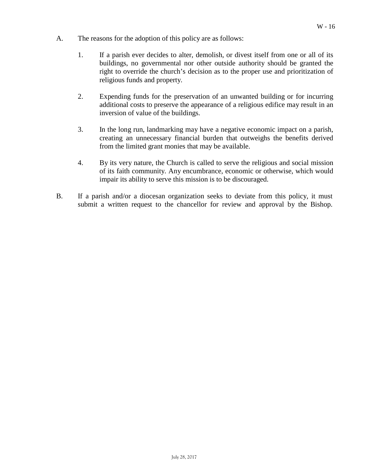- A. The reasons for the adoption of this policy are as follows:
	- 1. If a parish ever decides to alter, demolish, or divest itself from one or all of its buildings, no governmental nor other outside authority should be granted the right to override the church's decision as to the proper use and prioritization of religious funds and property.
	- 2. Expending funds for the preservation of an unwanted building or for incurring additional costs to preserve the appearance of a religious edifice may result in an inversion of value of the buildings.
	- 3. In the long run, landmarking may have a negative economic impact on a parish, creating an unnecessary financial burden that outweighs the benefits derived from the limited grant monies that may be available.
	- 4. By its very nature, the Church is called to serve the religious and social mission of its faith community. Any encumbrance, economic or otherwise, which would impair its ability to serve this mission is to be discouraged.
- B. If a parish and/or a diocesan organization seeks to deviate from this policy, it must submit a written request to the chancellor for review and approval by the Bishop.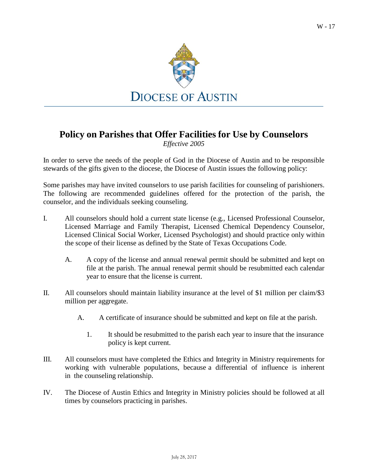W - 17



## **Policy on Parishes that Offer Facilities for Use by Counselors**

*Effective 2005*

In order to serve the needs of the people of God in the Diocese of Austin and to be responsible stewards of the gifts given to the diocese, the Diocese of Austin issues the following policy:

Some parishes may have invited counselors to use parish facilities for counseling of parishioners. The following are recommended guidelines offered for the protection of the parish, the counselor, and the individuals seeking counseling.

- I. All counselors should hold a current state license (e.g., Licensed Professional Counselor, Licensed Marriage and Family Therapist, Licensed Chemical Dependency Counselor, Licensed Clinical Social Worker, Licensed Psychologist) and should practice only within the scope of their license as defined by the State of Texas Occupations Code.
	- A. A copy of the license and annual renewal permit should be submitted and kept on file at the parish. The annual renewal permit should be resubmitted each calendar year to ensure that the license is current.
- II. All counselors should maintain liability insurance at the level of \$1 million per claim/\$3 million per aggregate.
	- A. A certificate of insurance should be submitted and kept on file at the parish.
		- 1. It should be resubmitted to the parish each year to insure that the insurance policy is kept current.
- III. All counselors must have completed the Ethics and Integrity in Ministry requirements for working with vulnerable populations, because a differential of influence is inherent in the counseling relationship.
- IV. The Diocese of Austin Ethics and Integrity in Ministry policies should be followed at all times by counselors practicing in parishes.